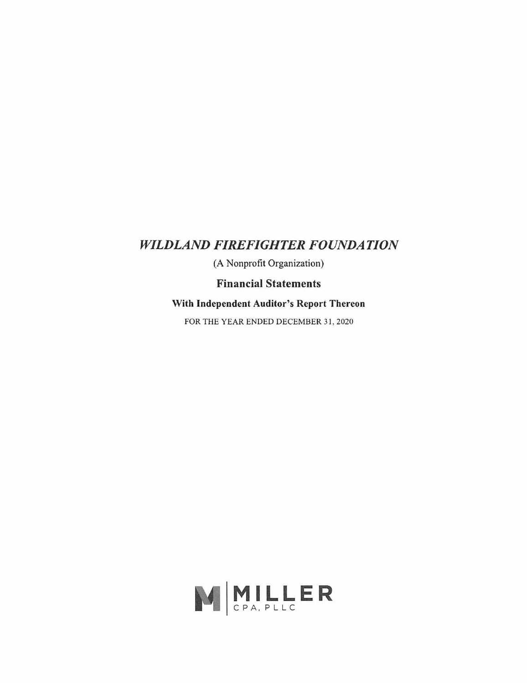# *WILDLAND FIREFIGHTER FOUNDATION*

(A Nonprofit Organization)

**Financial Statements** 

**With Independent Auditor's Report Thereon** 

FOR THE YEAR ENDED DECEMBER 31, 2020

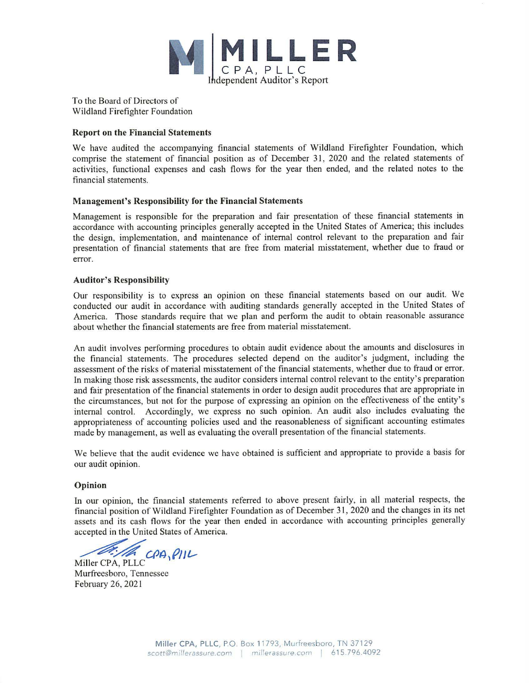

To the Board of Directors of Wildland Firefighter Foundation

### **Report on the Financial Statements**

We have audited the accompanying financial statements of Wildland Firefighter Foundation, which comprise the statement of financial position as of December 31 , 2020 and the related statements of activities, functional expenses and cash flows for the year then ended, and the related notes to the financial statements.

#### **Management's Responsibility for the Financial Statements**

Management is responsible for the preparation and fair presentation of these financial statements in accordance with accounting principles generally accepted in the United States of America; this includes the design, implementation, and maintenance of internal control relevant to the preparation and fair presentation of financial statements that are free from material misstatement, whether due to fraud or error.

#### **Auditor's Responsibility**

Our responsibility is to express an opinion on these financial statements based on our audit. We conducted our audit in accordance with auditing standards generally accepted in the United States of America. Those standards require that we plan and perfonn the audit to obtain reasonable assurance about whether the financial statements are free from material misstatement.

An audit involves performing procedures to obtain audit evidence about the amounts and disclosures in the financial statements. The procedures selected depend on the auditor's judgment, including the assessment of the risks of material misstatement of the financial statements, whether due to fraud or error. ln making those risk assessments, the auditor considers internal control relevant to the entity's preparation and fair presentation of the financial statements in order to design audit procedures that are appropriate in the circumstances, but not for the purpose of expressing an opinion on the effectiveness of the entity's internal control. Accordingly, we express no such opinion. An audit also includes evaluating the appropriateness of accounting policies used and the reasonableness of significant accounting estimates made by management, as well as evaluating the overall presentation of the financial statements.

We believe that the audit evidence we have obtained is sufficient and appropriate to provide a basis for our audit opinion.

### **Opinion**

In our opinion, the financial statements referred to above present fairly, in all material respects, the financial position of Wildland Firefighter Foundation as of December 31 , 2020 and the changes in its net assets and its cash flows for the year then ended in accordance with accounting principles generally accepted in the United States of America.

accepted in the United States of A<br>
Miller CPA, PLLC<br>
Miller CPA, PLLC

Murfreesboro, Tennessee February 26, 2021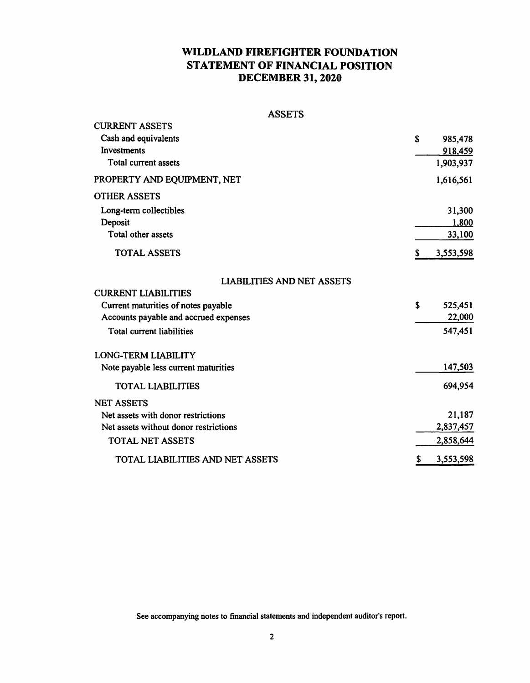## **WILDLAND FIREFIGHTER FOUNDATION STATEMENT OF FINANCIAL POSITION DECEMBER 31, 2020**

| <b>ASSET</b><br>L | ى |
|-------------------|---|
|-------------------|---|

| <b>CURRENT ASSETS</b>                 |    |           |
|---------------------------------------|----|-----------|
| Cash and equivalents                  | S  | 985,478   |
| Investments                           |    | 918,459   |
| Total current assets                  |    | 1,903,937 |
| PROPERTY AND EQUIPMENT, NET           |    | 1,616,561 |
| <b>OTHER ASSETS</b>                   |    |           |
| Long-term collectibles                |    | 31,300    |
| Deposit                               |    | 1,800     |
| Total other assets                    |    | 33,100    |
| <b>TOTAL ASSETS</b>                   | S  | 3,553,598 |
| <b>LIABILITIES AND NET ASSETS</b>     |    |           |
| <b>CURRENT LIABILITIES</b>            |    |           |
| Current maturities of notes payable   | \$ | 525,451   |
| Accounts payable and accrued expenses |    | 22,000    |
| Total current liabilities             |    | 547,451   |
| <b>LONG-TERM LIABILITY</b>            |    |           |
| Note payable less current maturities  |    | 147,503   |
| <b>TOTAL LIABILITIES</b>              |    | 694,954   |
| <b>NET ASSETS</b>                     |    |           |
| Net assets with donor restrictions    |    | 21,187    |
| Net assets without donor restrictions |    | 2,837,457 |
| <b>TOTAL NET ASSETS</b>               |    | 2,858,644 |
| TOTAL LIABILITIES AND NET ASSETS      | S. | 3,553,598 |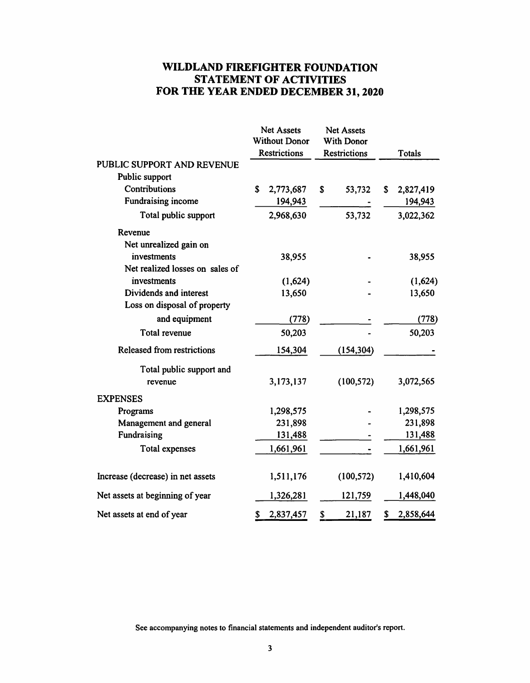## **WILDLAND FIREFIGHTER FOUNDATION STATEMENT OF ACTIVITIES FOR THE YEAR ENDED DECEMBER 31, 2020**

|                                   | Net Assets<br><b>Without Donor</b><br><b>Restrictions</b> |           | <b>Net Assets</b><br><b>With Donor</b><br><b>Restrictions</b> |            | <b>Totals</b> |           |
|-----------------------------------|-----------------------------------------------------------|-----------|---------------------------------------------------------------|------------|---------------|-----------|
| PUBLIC SUPPORT AND REVENUE        |                                                           |           |                                                               |            |               |           |
| Public support                    |                                                           |           |                                                               |            |               |           |
| Contributions                     | \$                                                        | 2,773,687 | S                                                             | 53,732     | S.            | 2,827,419 |
| Fundraising income                |                                                           | 194,943   |                                                               |            |               | 194,943   |
| Total public support              |                                                           | 2,968,630 |                                                               | 53,732     |               | 3,022,362 |
| Revenue                           |                                                           |           |                                                               |            |               |           |
| Net unrealized gain on            |                                                           |           |                                                               |            |               |           |
| investments                       |                                                           | 38,955    |                                                               |            |               | 38,955    |
| Net realized losses on sales of   |                                                           |           |                                                               |            |               |           |
| investments                       |                                                           | (1,624)   |                                                               |            |               | (1,624)   |
| Dividends and interest            |                                                           | 13,650    |                                                               |            |               | 13,650    |
| Loss on disposal of property      |                                                           |           |                                                               |            |               |           |
| and equipment                     |                                                           | (778)     |                                                               |            |               | (778)     |
| Total revenue                     |                                                           | 50,203    |                                                               |            |               | 50,203    |
| <b>Released from restrictions</b> |                                                           | 154,304   |                                                               | (154, 304) |               |           |
| Total public support and          |                                                           |           |                                                               |            |               |           |
| revenue                           |                                                           | 3,173,137 |                                                               | (100, 572) |               | 3,072,565 |
| <b>EXPENSES</b>                   |                                                           |           |                                                               |            |               |           |
| Programs                          |                                                           | 1,298,575 |                                                               |            |               | 1,298,575 |
| Management and general            |                                                           | 231,898   |                                                               |            |               | 231,898   |
| Fundraising                       |                                                           | 131,488   |                                                               |            |               | 131,488   |
| Total expenses                    |                                                           | 1,661,961 |                                                               |            |               | 1,661,961 |
| Increase (decrease) in net assets |                                                           | 1,511,176 |                                                               | (100, 572) |               | 1,410,604 |
| Net assets at beginning of year   |                                                           | 1,326,281 |                                                               | 121,759    |               | 1,448,040 |
| Net assets at end of year         | \$                                                        | 2,837,457 | \$                                                            | 21,187     | \$            | 2,858,644 |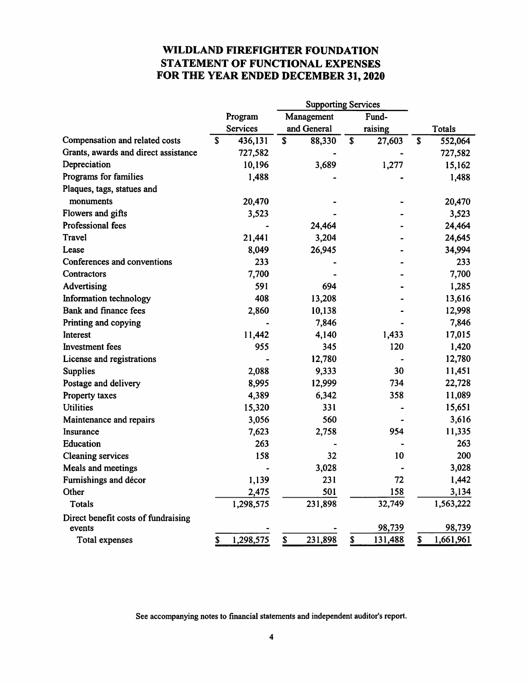## **WILDLAND FIREFIGHTER FOUNDATION STATEMENT OF FUNCTIONAL EXPENSES FOR THE YEAR ENDED DECEMBER 31, 2020**

|                                      |         |                 |                                      | <b>Supporting Services</b> |       |         |    |               |
|--------------------------------------|---------|-----------------|--------------------------------------|----------------------------|-------|---------|----|---------------|
|                                      | Program |                 | Management                           |                            | Fund- |         |    |               |
|                                      |         | <b>Services</b> |                                      | and General                |       | raising |    | <b>Totals</b> |
| Compensation and related costs       | S       | 436,131         | $\overline{\boldsymbol{\mathsf{s}}}$ | 88,330                     | \$    | 27,603  | \$ | 552,064       |
| Grants, awards and direct assistance |         | 727,582         |                                      |                            |       |         |    | 727,582       |
| Depreciation                         |         | 10,196          |                                      | 3,689                      |       | 1,277   |    | 15,162        |
| Programs for families                |         | 1,488           |                                      |                            |       |         |    | 1,488         |
| Plaques, tags, statues and           |         |                 |                                      |                            |       |         |    |               |
| monuments                            |         | 20,470          |                                      |                            |       |         |    | 20,470        |
| Flowers and gifts                    |         | 3,523           |                                      |                            |       |         |    | 3,523         |
| Professional fees                    |         |                 |                                      | 24,464                     |       |         |    | 24,464        |
| Travel                               |         | 21,441          |                                      | 3,204                      |       |         |    | 24,645        |
| Lease                                |         | 8,049           |                                      | 26,945                     |       |         |    | 34,994        |
| Conferences and conventions          |         | 233             |                                      |                            |       |         |    | 233           |
| Contractors                          |         | 7,700           |                                      |                            |       |         |    | 7,700         |
| Advertising                          |         | 591             |                                      | 694                        |       |         |    | 1,285         |
| Information technology               |         | 408             |                                      | 13,208                     |       |         |    | 13,616        |
| Bank and finance fees                |         | 2,860           |                                      | 10,138                     |       |         |    | 12,998        |
| Printing and copying                 |         |                 |                                      | 7,846                      |       |         |    | 7,846         |
| Interest                             |         | 11,442          |                                      | 4,140                      |       | 1,433   |    | 17,015        |
| Investment fees                      |         | 955             |                                      | 345                        |       | 120     |    | 1,420         |
| License and registrations            |         |                 |                                      | 12,780                     |       |         |    | 12,780        |
| <b>Supplies</b>                      |         | 2,088           |                                      | 9,333                      |       | 30      |    | 11,451        |
| Postage and delivery                 |         | 8,995           |                                      | 12,999                     |       | 734     |    | 22,728        |
| Property taxes                       |         | 4,389           |                                      | 6,342                      |       | 358     |    | 11,089        |
| <b>Utilities</b>                     |         | 15,320          |                                      | 331                        |       |         |    | 15,651        |
| Maintenance and repairs              |         | 3,056           |                                      | 560                        |       |         |    | 3,616         |
| Insurance                            |         | 7,623           |                                      | 2,758                      |       | 954     |    | 11,335        |
| Education                            |         | 263             |                                      |                            |       |         |    | 263           |
| <b>Cleaning services</b>             |         | 158             |                                      | 32                         |       | 10      |    | 200           |
| Meals and meetings                   |         |                 |                                      | 3,028                      |       |         |    | 3,028         |
| Furnishings and décor                |         | 1,139           |                                      | 231                        |       | 72      |    | 1,442         |
| Other                                |         | 2,475           |                                      | 501                        |       | 158     |    | 3,134         |
| <b>Totals</b>                        |         | 1,298,575       |                                      | 231,898                    |       | 32,749  |    | 1,563,222     |
| Direct benefit costs of fundraising  |         |                 |                                      |                            |       |         |    |               |
| events                               |         |                 |                                      |                            |       | 98,739  |    | 98,739        |
| Total expenses                       | \$      | 1,298,575       | \$                                   | 231,898                    | \$    | 131,488 | \$ | 1,661,961     |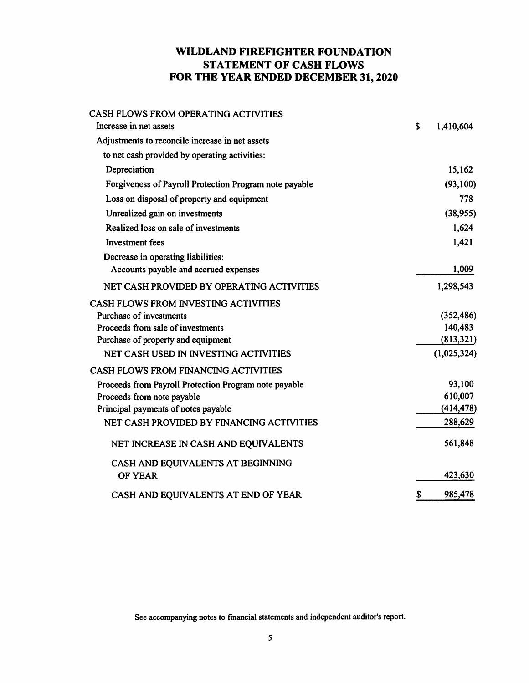## **WILDLAND FIREFIGHTER FOUNDATION STATEMENT OF CASH FLOWS FOR THE YEAR ENDED DECEMBER 31, 2020**

| CASH FLOWS FROM OPERATING ACTIVITIES                   |                 |
|--------------------------------------------------------|-----------------|
| Increase in net assets                                 | \$<br>1,410,604 |
| Adjustments to reconcile increase in net assets        |                 |
| to net cash provided by operating activities:          |                 |
| Depreciation                                           | 15,162          |
| Forgiveness of Payroll Protection Program note payable | (93, 100)       |
| Loss on disposal of property and equipment             | 778             |
| Unrealized gain on investments                         | (38, 955)       |
| Realized loss on sale of investments                   | 1,624           |
| Investment fees                                        | 1,421           |
| Decrease in operating liabilities:                     |                 |
| Accounts payable and accrued expenses                  | 1,009           |
| NET CASH PROVIDED BY OPERATING ACTIVITIES              | 1,298,543       |
| CASH FLOWS FROM INVESTING ACTIVITIES                   |                 |
| <b>Purchase of investments</b>                         | (352, 486)      |
| Proceeds from sale of investments                      | 140,483         |
| Purchase of property and equipment                     | (813,321)       |
| NET CASH USED IN INVESTING ACTIVITIES                  | (1,025,324)     |
| CASH FLOWS FROM FINANCING ACTIVITIES                   |                 |
| Proceeds from Payroll Protection Program note payable  | 93,100          |
| Proceeds from note payable                             | 610,007         |
| Principal payments of notes payable                    | (414, 478)      |
| NET CASH PROVIDED BY FINANCING ACTIVITIES              | 288,629         |
| NET INCREASE IN CASH AND EQUIVALENTS                   | 561,848         |
| CASH AND EQUIVALENTS AT BEGINNING                      |                 |
| <b>OF YEAR</b>                                         | 423,630         |
| CASH AND EQUIVALENTS AT END OF YEAR                    | \$<br>985,478   |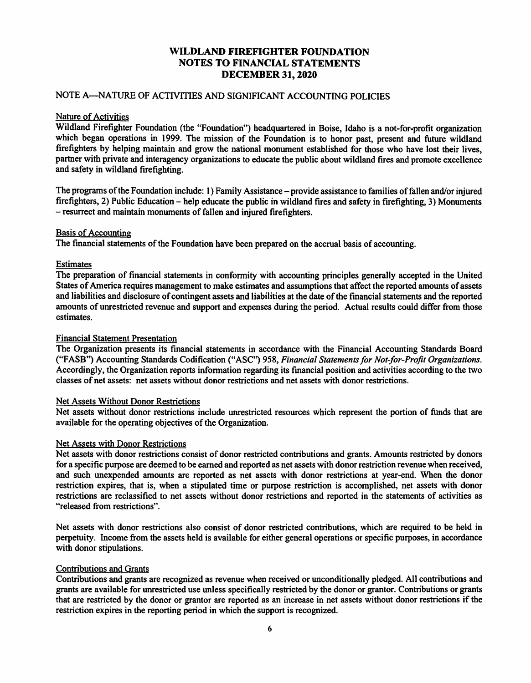### NOTE A-NATURE OF ACTIVITIES AND SIGNIFICANT ACCOUNTING POLICIES

#### Nature of Activities

Wildland Firefighter Foundation (the "Foundation") headquartered in Boise, Idaho is a not-for-profit organization which began operations in 1999. The mission of the Foundation is to honor past, present and future wildland firefighters by helping maintain and grow the national monument established for those who have lost their lives, partner with private and interagency organizations to educate the public about wildland fires and promote excellence and safety in wildland firefighting.

The programs of the Foundation include: 1) Family Assistance – provide assistance to families of fallen and/or injured firefighters, 2) Public Education – help educate the public in wildland fires and safety in firefighting, 3) Monuments - resurrect and maintain monuments of fallen and injured firefighters.

### Basis of Accounting

The financial statements of the Foundation have been prepared on the accrual basis of accounting.

### **Estimates**

The preparation of financial statements in conformity with accounting principles generally accepted in the United States of America requires management to make estimates and assumptions that affect the reported amounts of assets and liabilities and disclosure of contingent assets and liabilities at the date of the financial statements and the reported amounts of unrestricted revenue and support and expenses during the period. Actual results could differ from those estimates.

### Financial Statement Presentation

The Organization presents its financial statements in accordance with the Financial Accounting Standards Board ("F ASB") Accounting Standards Codification ("ASC'') 958, *Financial Statements for Not-for-Profit Organizations.*  Accordingly, the Organization reports information regarding its financial position and activities according to the two classes of net assets: net assets without donor restrictions and net assets with donor restrictions.

#### Net Assets Without Donor Restrictions

Net assets without donor restrictions include unrestricted resources which represent the portion of funds that are available for the operating objectives of the Organization.

#### Net Assets with Donor Restrictions

Net assets with donor restrictions consist of donor restricted contributions and grants. Amounts restricted by donors for a specific purpose are deemed to be earned and reported as net assets with donor restriction revenue when received, and such unexpended amounts are reported as net assets with donor restrictions at year-end. When the donor restriction expires, that is, when a stipulated time or purpose restriction is accomplished, net assets with donor restrictions are reclassified to net assets without donor restrictions and reported in the statements of activities as "released from restrictions".

Net assets with donor restrictions also consist of donor restricted contributions, which are required to be held in perpetuity. Income from the assets held is available for either general operations or specific purposes, in accordance with donor stipulations.

#### Contributions and Grants

Contributions and grants are recognized as revenue when received or unconditionally pledged. All contributions and grants are available for unrestricted use unless specifically restricted by the donor or grantor. Contributions or grants that are restricted by the donor or grantor are reported as an increase in net assets without donor restrictions if the restriction expires in the reporting period in which the support is recognized.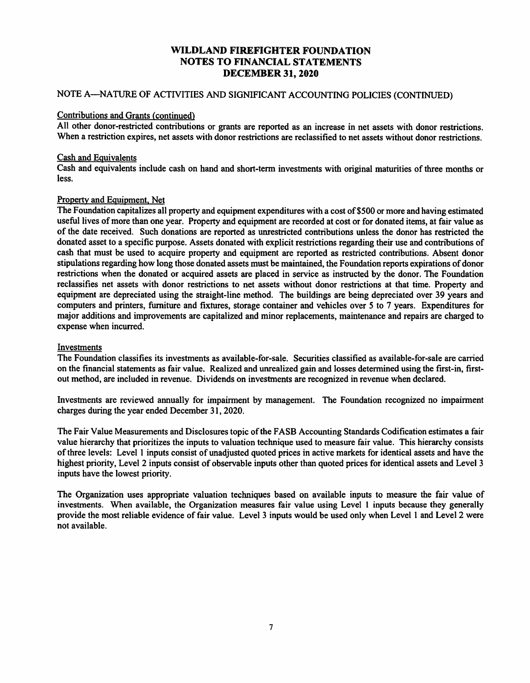### NOTE A-NATURE OF ACTIVITIES AND SIGNIFICANT ACCOUNTING POLICIES (CONTINUED)

#### Contributions and Grants (continued}

All other donor-restricted contributions or grants are reported as an increase in net assets with donor restrictions. When a restriction expires, net assets with donor restrictions are reclassified to net assets without donor restrictions.

### Cash and Equivalents

Cash and equivalents include cash on hand and short-term investments with original maturities of three months or less.

### Property and Equipment, Net

The Foundation capitalizes all property and equipment expenditures with a cost of \$500 or more and having estimated useful lives of more than one year. Property and equipment are recorded at cost or for donated items, at fair value as of the date received. Such donations are reported as unrestricted contributions unless the donor has restricted the donated asset to a specific purpose. Assets donated with explicit restrictions regarding their use and contributions of cash that must be used to acquire property and equipment are reported as restricted contributions. Absent donor stipulations regarding how long those donated assets must be maintained, the Foundation reports expirations of donor restrictions when the donated or acquired assets are placed in service as instructed by the donor. The Foundation reclassifies net assets with donor restrictions to net assets without donor restrictions at that time. Property and equipment are depreciated using the straight-line method. The buildings are being depreciated over 39 years and computers and printers, furniture and fixtures, storage container and vehicles over *5* to 7 years. Expenditures for major additions and improvements are capitalized and minor replacements, maintenance and repairs are charged to expense when incurred.

#### Investments

The Foundation classifies its investments as available-for-sale. Securities classified as available-for-sale are carried on the financial statements as fair value. Realized and unrealized gain and losses determined using the first-in, firstout method, are included in revenue. Dividends on investments are recognized in revenue when declared.

Investments are reviewed annually for impairment by management. The Foundation recognized no impairment charges during the year ended December 31, 2020.

The Fair Value Measurements and Disclosures topic of the FASB Accounting Standards Codification estimates a fair value hierarchy that prioritizes the inputs to valuation technique used to measure fair value. This hierarchy consists of three levels: Level I inputs consist of unadjusted quoted prices in active markets for identical assets and have the highest priority, Level 2 inputs consist of observable inputs other than quoted prices for identical assets and Level 3 inputs have the lowest priority.

The Organization uses appropriate valuation techniques based on available inputs to measure the fair value of investments. When available, the Organization measures fair value using Level l inputs because they generally provide the most reliable evidence of fair value. Level 3 inputs would be used only when Level I and Level 2 were not available.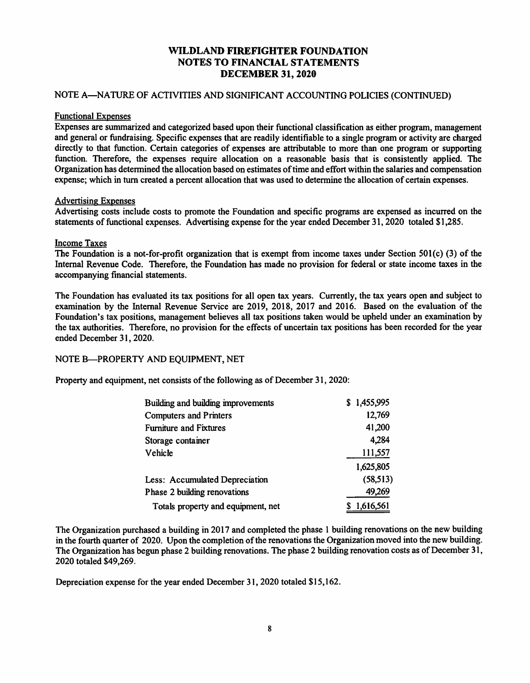### NOTE A-NATURE OF ACTIVITIES AND SIGNIFICANT ACCOUNTING POLICIES (CONTINUED)

#### Functional Expenses

Expenses are summarized and categorized based upon their functional classification as either program, management and general or fundraising. Specific expenses that are readily identifiable to a single program or activity are charged directly to that function. Certain categories of expenses are attributable to more than one program or supporting function. Therefore, the expenses require allocation on a reasonable basis that is consistently applied. The Organization has determined the allocation based on estimates of time and effort within the salaries and compensation expense; which in turn created a percent allocation that was used to determine the allocation of certain expenses.

#### Advertising Expenses

Advertising costs include costs to promote the Foundation and specific programs are expensed as incurred on the statements of functional expenses. Advertising expense for the year ended December 31, 2020 totaled \$1,285.

### Income Taxes

The Foundation is a not-for-profit organization that is exempt from income taxes under Section 50l(c) (3) of the Internal Revenue Code. Therefore, the Foundation has made no provision for federal or state income taxes in the accompanying financial statements.

The Foundation has evaluated its tax positions for all open tax years. Currently, the tax years open and subject to examination by the Internal Revenue Service are 2019, 2018, 2017 and 2016. Based on the evaluation of the Foundation's tax positions, management believes all tax positions taken would be upheld under an examination by the tax authorities. Therefore, no provision for the effects of uncertain tax positions has been recorded for the year ended December 31, 2020.

### NOTE B-PROPERTY AND EQUIPMENT, NET

Property and equipment, net consists of the following as of December 31, 2020:

| Building and building improvements | \$1,455,995 |
|------------------------------------|-------------|
| <b>Computers and Printers</b>      | 12,769      |
| <b>Furniture and Fixtures</b>      | 41,200      |
| Storage container                  | 4,284       |
| Vehicle                            | 111,557     |
|                                    | 1,625,805   |
| Less: Accumulated Depreciation     | (58, 513)   |
| Phase 2 building renovations       | 49,269      |
| Totals property and equipment, net | \$1,616,561 |

The Organization purchased a building in 2017 and completed the phase 1 building renovations on the new building in the fourth quarter of 2020. Upon the completion of the renovations the Organization moved into the new building. The Organization has begun phase 2 building renovations. The phase 2 building renovation costs as of December 31, 2020 totaled \$49,269.

Depreciation expense for the year ended December 31, 2020 totaled \$15,162.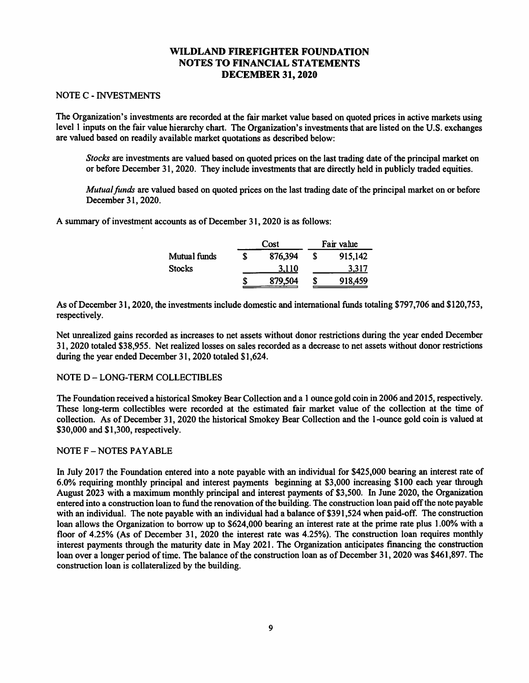#### NOTE C - INVESTMENTS

The Organization's investments are recorded at the fair market value based on quoted prices in active markets using level I inputs on the fair value hierarchy chart. The Organization's investments that are listed on the U.S. exchanges are valued based on readily available market quotations as described below:

*Stocks* are investments are valued based on quoted prices on the last trading date of the principal market on or before December 31, 2020. They include investments that are directly held in publicly traded equities.

*Mutual funds* are valued based on quoted prices on the last trading date of the principal market on or before December 31, 2020.

A summary of investment accounts as of December 31, 2020 is as follows:

|               |   | Cost    | Fair value |         |  |  |
|---------------|---|---------|------------|---------|--|--|
| Mutual funds  | S | 876,394 | S          | 915,142 |  |  |
| <b>Stocks</b> |   | 3.110   |            | 3.317   |  |  |
|               | S | 879,504 | S          | 918,459 |  |  |

As of December 31, 2020, the investments include domestic and international funds totaling \$797,706 and \$120,753, respectively.

Net unrealized gains recorded as increases to net assets without donor restrictions during the year ended December 31, 2020 totaled \$38,955. Net realized losses on sales recorded as a decrease to net assets without donor restrictions during the year ended December 31, 2020 totaled \$1,624.

#### NOTED - LONG-TERM COLLECTIBLES

The Foundation received a historical Smokey Bear Collection and a l ounce gold coin in 2006 and 2015, respectively. These long-term collectibles were recorded at the estimated fair market value of the collection at the time of collection. As of December 31, 2020 the historical Smokey Bear Collection and the I -ounce gold coin is valued at \$30,000 and \$1,300, respectively.

#### NOTE F - NOTES PAYABLE

In July 2017 the Foundation entered into a note payable with an individual for \$425,000 bearing an interest rate of 6.0% requiring monthly principal and interest payments beginning at \$3,000 increasing \$100 each year through August 2023 with a maximum monthly principal and interest payments of \$3,500. In June 2020, the Organization entered into a construction loan to fund the renovation of the building. The construction loan paid off the note payable with an individual. The note payable with an individual had a balance of \$391,524 when paid-off. The construction loan allows the Organization to borrow up to \$624,000 bearing an interest rate at the prime rate plus 1.00% with a floor of 4.25% (As of December 31, 2020 the interest rate was 4.25%). The construction loan requires monthly interest payments through the maturity date in May 2021. The Organization anticipates financing the construction loan over a longer period of time. The balance of the construction loan as of December 31, 2020 was \$461,897. The construction loan is collateralized by the building.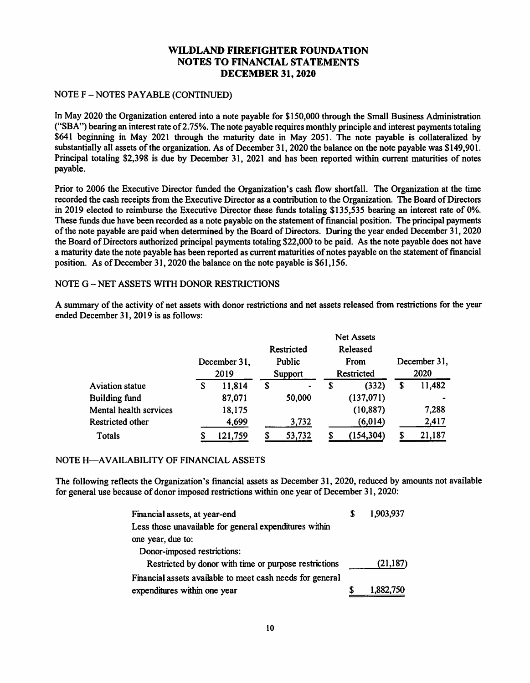### NOTE F - NOTES PAY ABLE (CONTINUED)

In May 2020 the Organization entered into a note payable for \$150,000 through the Small Business Administration ("SBA") bearing an interest rate of 2.75%. The note payable requires monthly principle and interest payments totaling \$641 beginning in May 2021 through the maturity date in May 2051. The note payable is collateralized by substantially all assets of the organization. As of December 31, 2020 the balance on the note payable was \$149,901. Principal totaling \$2,398 is due by December 31, 2021 and has been reported within current maturities of notes payable.

Prior to 2006 the Executive Director funded the Organization's cash flow shortfall. The Organization at the time recorded the cash receipts from the Executive Director as a contribution to the Organization. The Board of Directors in 2019 elected to reimburse the Executive Director these funds totaling \$135,535 bearing an interest rate of 0%. These funds due have been recorded as a note payable on the statement of financial position. The principal payments of the note payable are paid when determined by the Board of Directors. During the year ended December 31, 2020 the Board of Directors authorized principal payments totaling \$22,000 to be paid. As the note payable does not have a maturity date the note payable has been reported as current maturities of notes payable on the statement of financial position. As of December 31, 2020 the balance on the note payable is \$61,156.

### NOTE G - NET ASSETS WITH DONOR RESTRICTIONS

A summary of the activity of net assets with donor restrictions and net assets released from restrictions for the year ended December 31, 2019 is as follows:

|                        |   |              |            |   | <b>Net Assets</b> |   |              |
|------------------------|---|--------------|------------|---|-------------------|---|--------------|
|                        |   |              | Restricted |   | Released          |   |              |
|                        |   | December 31, | Public     |   | From              |   | December 31, |
|                        |   | 2019         | Support    |   | Restricted        |   | 2020         |
| <b>Aviation statue</b> | S | 11,814       | \$<br>۰    | S | (332)             | S | 11,482       |
| <b>Building fund</b>   |   | 87,071       | 50,000     |   | (137,071)         |   |              |
| Mental health services |   | 18,175       |            |   | (10, 887)         |   | 7,288        |
| Restricted other       |   | 4,699        | 3,732      |   | (6, 014)          |   | 2,417        |
| Totals                 | S | 121,759      | 53,732     |   | (154, 304)        |   | 21,187       |

### NOTE H-AVAILABILITY OF FINANCIAL ASSETS

The following reflects the Organization's financial assets as December 31, 2020, reduced by amounts not available for general use because of donor imposed restrictions within one year of December 31, 2020:

| Financial assets, at year-end                             | 1,903,937 |
|-----------------------------------------------------------|-----------|
| Less those unavailable for general expenditures within    |           |
| one year, due to:                                         |           |
| Donor-imposed restrictions:                               |           |
| Restricted by donor with time or purpose restrictions     | (21, 187) |
| Financial assets available to meet cash needs for general |           |
| expenditures within one year                              | 1,882,750 |